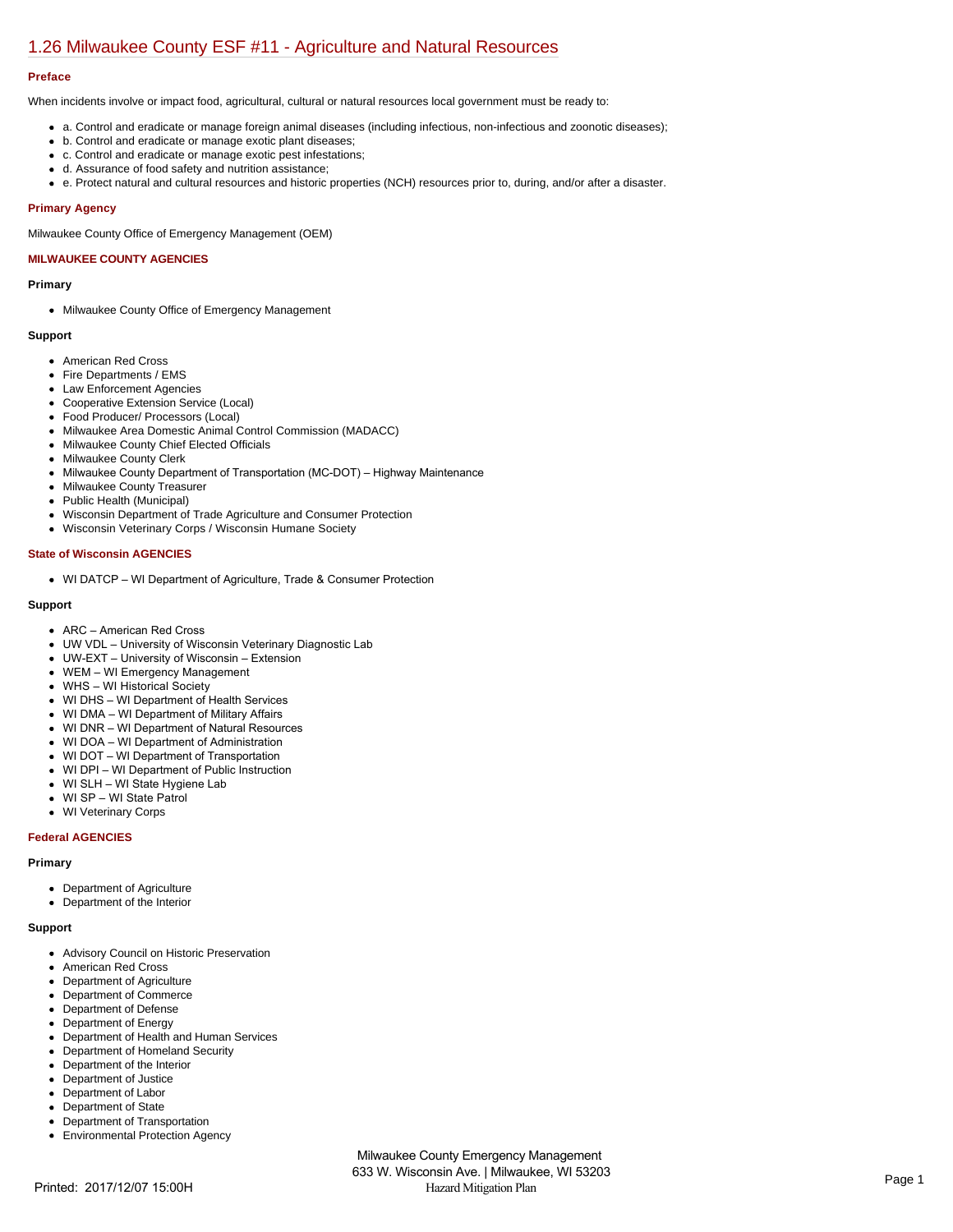# [1.26 Milwaukee County ESF #11 - Agriculture and Natural Resources](https://milwaukeecounty.isc-cemp.com/Cemp/Details?id=5805901)

## **Preface**

When incidents involve or impact food, agricultural, cultural or natural resources local government must be ready to:

- a. Control and eradicate or manage foreign animal diseases (including infectious, non-infectious and zoonotic diseases);
- b. Control and eradicate or manage exotic plant diseases;
- c. Control and eradicate or manage exotic pest infestations;
- d. Assurance of food safety and nutrition assistance;
- e. Protect natural and cultural resources and historic properties (NCH) resources prior to, during, and/or after a disaster.

## **Primary Agency**

Milwaukee County Office of Emergency Management (OEM)

# **MILWAUKEE COUNTY AGENCIES**

#### **Primary**

• Milwaukee County Office of Emergency Management

## **Support**

- American Red Cross
- Fire Departments / EMS
- Law Enforcement Agencies
- Cooperative Extension Service (Local)
- Food Producer/ Processors (Local)
- Milwaukee Area Domestic Animal Control Commission (MADACC)
- Milwaukee County Chief Elected Officials
- Milwaukee County Clerk
- Milwaukee County Department of Transportation (MC-DOT) Highway Maintenance
- Milwaukee County Treasurer
- Public Health (Municipal)
- Wisconsin Department of Trade Agriculture and Consumer Protection
- Wisconsin Veterinary Corps / Wisconsin Humane Society

## **State of Wisconsin AGENCIES**

WI DATCP – WI Department of Agriculture, Trade & Consumer Protection

## **Support**

- ARC American Red Cross
- UW VDL University of Wisconsin Veterinary Diagnostic Lab
- UWEXT University of Wisconsin Extension
- WEM WI Emergency Management
- WHS WI Historical Society
- WI DHS WI Department of Health Services
- WI DMA WI Department of Military Affairs
- WI DNR WI Department of Natural Resources
- WI DOA WI Department of Administration
- WI DOT WI Department of Transportation
- WI DPI WI Department of Public Instruction
- WI SLH WI State Hygiene Lab
- WI SP WI State Patrol
- WI Veterinary Corps

## **Federal AGENCIES**

## **Primary**

- Department of Agriculture
- Department of the Interior

#### **Support**

- Advisory Council on Historic Preservation
- American Red Cross
- Department of Agriculture
- Department of Commerce
- Department of Defense
- Department of Energy
- Department of Health and Human Services
- Department of Homeland Security
- $\bullet$ Department of the Interior
- Department of Justice
- Department of Labor  $\bullet$
- Department of State  $\bullet$
- Department of Transportation
- $\bullet$ Environmental Protection Agency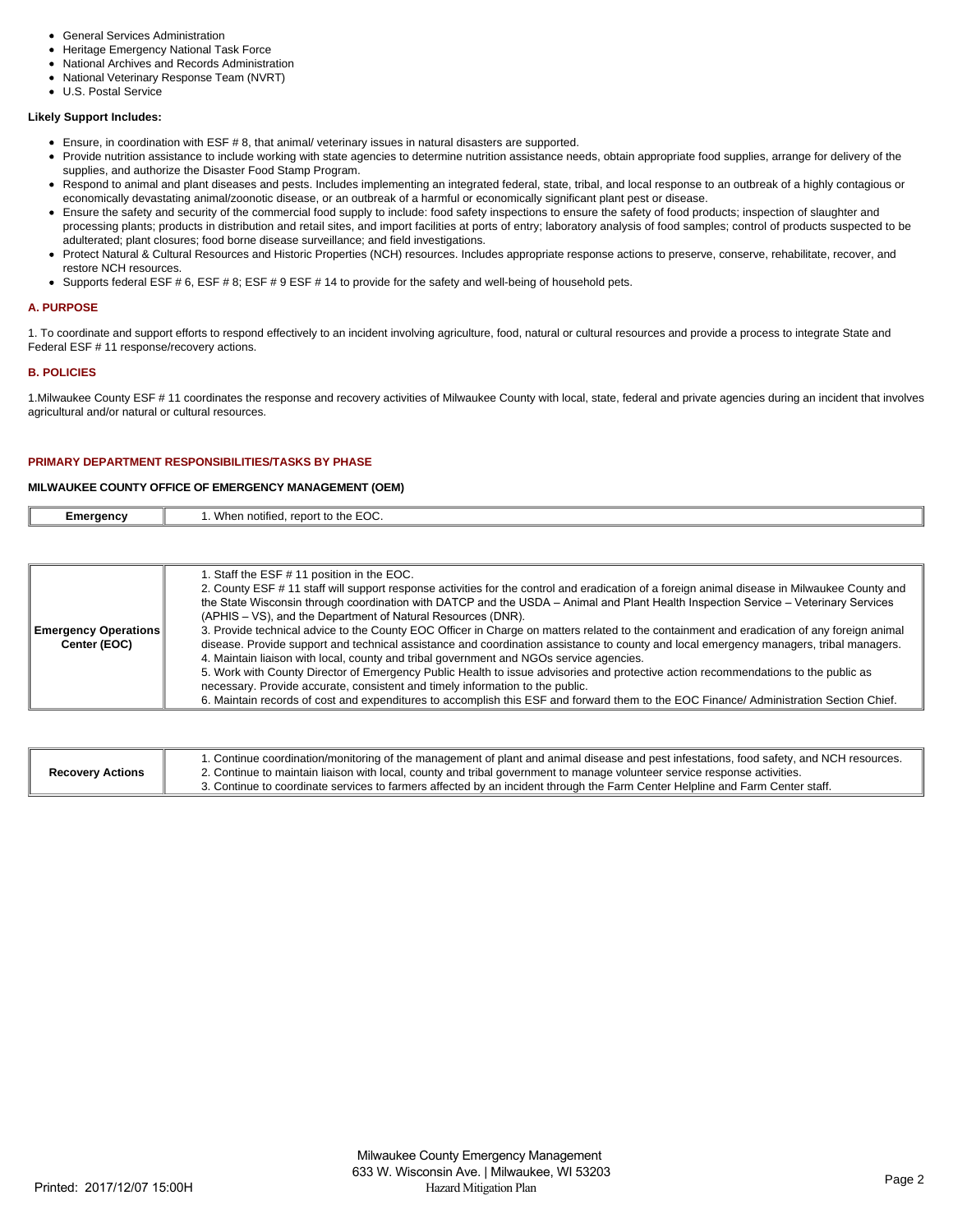- General Services Administration
- Heritage Emergency National Task Force
- National Archives and Records Administration  $\bullet$
- National Veterinary Response Team (NVRT)
- U.S. Postal Service

# **Likely Support Includes:**

- Ensure, in coordination with ESF # 8, that animal/ veterinary issues in natural disasters are supported.
- Provide nutrition assistance to include working with state agencies to determine nutrition assistance needs, obtain appropriate food supplies, arrange for delivery of the supplies, and authorize the Disaster Food Stamp Program.
- Respond to animal and plant diseases and pests. Includes implementing an integrated federal, state, tribal, and local response to an outbreak of a highly contagious or economically devastating animal/zoonotic disease, or an outbreak of a harmful or economically significant plant pest or disease.
- Ensure the safety and security of the commercial food supply to include: food safety inspections to ensure the safety of food products; inspection of slaughter and processing plants; products in distribution and retail sites, and import facilities at ports of entry; laboratory analysis of food samples; control of products suspected to be adulterated; plant closures; food borne disease surveillance; and field investigations.
- Protect Natural & Cultural Resources and Historic Properties (NCH) resources. Includes appropriate response actions to preserve, conserve, rehabilitate, recover, and restore NCH resources.
- Supports federal ESF # 6, ESF # 8; ESF # 9 ESF # 14 to provide for the safety and well-being of household pets.

#### **A. PURPOSE**

1. To coordinate and support efforts to respond effectively to an incident involving agriculture, food, natural or cultural resources and provide a process to integrate State and Federal ESF # 11 response/recovery actions.

## **B. POLICIES**

1.Milwaukee County ESF # 11 coordinates the response and recovery activities of Milwaukee County with local, state, federal and private agencies during an incident that involves agricultural and/or natural or cultural resources.

## **PRIMARY DEPARTMENT RESPONSIBILITIES/TASKS BY PHASE**

## **MILWAUKEE COUNTY OFFICE OF EMERGENCY MANAGEMENT (OEM)**

| :meraencv | $\Gamma \cap C$<br>.<br>Wher<br>$r \cap n \cap$<br>$\sim$<br>$. + 0.7$<br>ΊА.<br>:UU<br>ien<br>. |
|-----------|--------------------------------------------------------------------------------------------------|
|           |                                                                                                  |

|                             | 1. Staff the ESF # 11 position in the EOC.                                                                                                    |
|-----------------------------|-----------------------------------------------------------------------------------------------------------------------------------------------|
|                             | 2. County ESF # 11 staff will support response activities for the control and eradication of a foreign animal disease in Milwaukee County and |
|                             | the State Wisconsin through coordination with DATCP and the USDA – Animal and Plant Health Inspection Service – Veterinary Services           |
|                             | (APHIS – VS), and the Department of Natural Resources (DNR).                                                                                  |
| <b>Emergency Operations</b> | 3. Provide technical advice to the County EOC Officer in Charge on matters related to the containment and eradication of any foreign animal   |
| Center (EOC)                | disease. Provide support and technical assistance and coordination assistance to county and local emergency managers, tribal managers.        |
|                             | 4. Maintain liaison with local, county and tribal government and NGOs service agencies.                                                       |
|                             | 5. Work with County Director of Emergency Public Health to issue advisories and protective action recommendations to the public as            |
|                             | necessary. Provide accurate, consistent and timely information to the public.                                                                 |
|                             | 6. Maintain records of cost and expenditures to accomplish this ESF and forward them to the EOC Finance/ Administration Section Chief.        |

| <b>Recovery Actions</b> | 1. Continue coordination/monitoring of the management of plant and animal disease and pest infestations, food safety, and NCH resources.<br>2. Continue to maintain liaison with local, county and tribal government to manage volunteer service response activities. |
|-------------------------|-----------------------------------------------------------------------------------------------------------------------------------------------------------------------------------------------------------------------------------------------------------------------|
|                         | 3. Continue to coordinate services to farmers affected by an incident through the Farm Center Helpline and Farm Center staff.                                                                                                                                         |